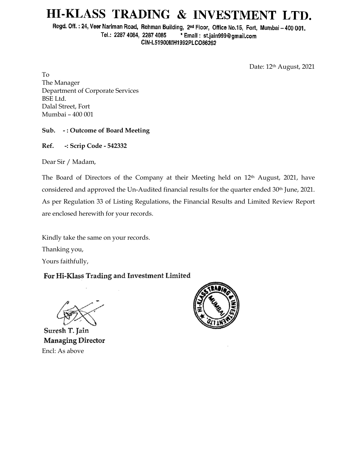# HI-KLASS TRADING & INVESTMENT LTD.

Regd. Off.: 24, Veer Nariman Road, Rehman Building, 2nd Floor, Office No.15, Fort, Mumbai - 400 001. Tel.: 2287 4084, 2287 4085 \* Email: st.jain999@gmail.com CIN-L51900MH1992PLCO66262

Date: 12<sup>th</sup> August, 2021

To The Manager Department of Corporate Services BSE Ltd. Dalal Street, Fort Mumbai – 400 001

### **Sub. - : Outcome of Board Meeting**

**Ref. -: Scrip Code - 542332**

Dear Sir / Madam,

The Board of Directors of the Company at their Meeting held on 12<sup>th</sup> August, 2021, have considered and approved the Un-Audited financial results for the quarter ended 30<sup>th</sup> June, 2021. As per Regulation 33 of Listing Regulations, the Financial Results and Limited Review Report are enclosed herewith for your records.

Kindly take the same on your records.

Thanking you,

Yours faithfully,

# For Hi-Klass Trading and Investment Limited

Suresh T. Jain Managing Director Encl: As above

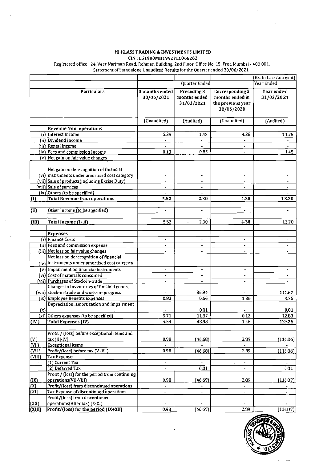#### HI-KLASS TRADING & INVESTMENTS LIMITED CIN: L51900MH1992PLC066262

Registered office : 24, Veer Nariman Road, Rehman Building, 2nd Floor, Office No. 15, Frot, Mumbai - 400 001.<br>Statement of Standalone Unaudited Results for the Quarter ended 30/06/2021

|                     |                                                                                                                                           |                                            |                                           |                                                                       | (Rs. In Lacs/amount)                                 |
|---------------------|-------------------------------------------------------------------------------------------------------------------------------------------|--------------------------------------------|-------------------------------------------|-----------------------------------------------------------------------|------------------------------------------------------|
|                     |                                                                                                                                           |                                            | Quarter Ended                             |                                                                       | Year Ended                                           |
|                     | Particulars                                                                                                                               | 3 months ended<br>30/06/2021               | Preceding 3<br>months ended<br>31/03/2021 | Corresponding 3<br>months ended in<br>the previous year<br>30/06/2020 | Year ended<br>31/03/2021                             |
|                     |                                                                                                                                           | (Unaudited)                                | (Audited)                                 | (Unaudited)                                                           | (Audited)                                            |
|                     | Revenue from operations                                                                                                                   |                                            |                                           |                                                                       |                                                      |
|                     | (i) Interest Income                                                                                                                       | 5.39                                       | 1.45                                      | 4.38                                                                  | 11.75                                                |
|                     | (ii) Dividend Income                                                                                                                      |                                            | $\blacksquare$                            |                                                                       |                                                      |
|                     | (iii) Rental Income                                                                                                                       | $\blacksquare$                             | $\overline{a}$                            | $\blacksquare$                                                        | $\blacksquare$                                       |
|                     | (iv) Fees and commission Income                                                                                                           | 0.13                                       | 0.85                                      | $\blacksquare$                                                        | 1.45                                                 |
|                     | (v) Net gain on fair value changes                                                                                                        |                                            | $\overline{a}$                            | ٠                                                                     |                                                      |
|                     | Net gain on derecognition of financial<br>(vi) instruments under amortised cost category<br>(vii) Sale of products(including Excise Duty) | $\blacksquare$<br>$\overline{\phantom{a}}$ | $\blacksquare$<br>$\blacksquare$          | $\blacksquare$<br>$\overline{\phantom{a}}$                            | $\overline{\phantom{a}}$<br>$\overline{\phantom{a}}$ |
|                     | [viii] Sale of services                                                                                                                   | $\overline{\phantom{0}}$                   | $\blacksquare$                            | $\overline{\phantom{a}}$                                              | ٠                                                    |
|                     | (ix) Others (to be specified)                                                                                                             |                                            |                                           |                                                                       |                                                      |
| (1)                 | <b>Total Revenue from operations</b>                                                                                                      | 5.52                                       | 2.30                                      | 4.38                                                                  | 13.20                                                |
|                     |                                                                                                                                           |                                            |                                           |                                                                       |                                                      |
| (II)                | Other Income (to be specified)                                                                                                            | $\blacksquare$                             | $\overline{\phantom{a}}$                  | $\blacksquare$                                                        | $\overline{a}$                                       |
|                     |                                                                                                                                           |                                            |                                           |                                                                       |                                                      |
| (III)               | Total Income (I+II)                                                                                                                       | 5.52                                       | 2.30<br>ä,                                | 438                                                                   | 13.20                                                |
|                     |                                                                                                                                           |                                            |                                           |                                                                       |                                                      |
|                     | <b>Expenses</b>                                                                                                                           |                                            |                                           |                                                                       |                                                      |
|                     | (i) Finance Costs                                                                                                                         |                                            | $\overline{\phantom{a}}$                  |                                                                       |                                                      |
|                     | (ii) Fees and commission expense                                                                                                          | ۰.                                         | $\overline{\phantom{a}}$                  | $\blacksquare$                                                        | $\blacksquare$                                       |
|                     | (iii) Net loss on fair value changes                                                                                                      | -                                          | $\blacksquare$                            | $\overline{\phantom{a}}$                                              | $\overline{\phantom{a}}$                             |
|                     | Net loss on derecognition of financial                                                                                                    |                                            |                                           |                                                                       |                                                      |
|                     | (iv) instruments under amortised cost category                                                                                            |                                            |                                           | $\blacksquare$                                                        |                                                      |
|                     | (v) Impairment on financial instruments                                                                                                   | $\overline{a}$                             | $\blacksquare$                            | $\overline{\phantom{a}}$                                              |                                                      |
|                     | (vi) Cost of materials consumed                                                                                                           | $\blacksquare$                             | $\overline{\phantom{a}}$                  | $\blacksquare$                                                        | $\blacksquare$                                       |
|                     | (vii) Purchases of Stock-in-trade                                                                                                         | $\overline{\phantom{a}}$                   | $\blacksquare$                            | $\tilde{\phantom{a}}$                                                 | ۰                                                    |
|                     | Changes in Inventories of finished goods,                                                                                                 |                                            |                                           |                                                                       |                                                      |
|                     | (viii) stock-in-trade and work-in-progress                                                                                                |                                            | 36.94                                     |                                                                       | 111.67                                               |
|                     | (ix) Employee Benefits Expenses                                                                                                           | 0.83                                       | 0.66                                      | 1.36                                                                  | 4.75                                                 |
|                     | Depreciation, amortization and impairment                                                                                                 |                                            |                                           |                                                                       |                                                      |
| (x)                 | [xi] Others expenses (to be specified)                                                                                                    | 3.71                                       | 0.01<br>11.37                             | 0.12                                                                  | 0.01<br>12.83                                        |
| $(\mathbf{IV})$     | Total Expenses (IV)                                                                                                                       | 4.54                                       | 48.98                                     | 1.48                                                                  | 129.26                                               |
|                     |                                                                                                                                           |                                            |                                           |                                                                       |                                                      |
|                     | Profit / (loss) before exceptional items and                                                                                              |                                            |                                           |                                                                       |                                                      |
| $\alpha$            | tax (III-IV)                                                                                                                              | 0.98                                       | (46.68)                                   | 2.89                                                                  | (116.06)                                             |
| $\vert$ (VI )       | Exceptional items                                                                                                                         |                                            |                                           |                                                                       |                                                      |
| VII                 | Profit/(loss) before tax (V-VI)                                                                                                           | 0.98                                       | (46.68)                                   | 2.89                                                                  | (116.06)                                             |
| (VIII)              | <b>Tax Expense:</b>                                                                                                                       |                                            |                                           |                                                                       |                                                      |
|                     | (1) Current Tax                                                                                                                           | $\blacksquare$                             | $\blacksquare$                            |                                                                       |                                                      |
|                     | (2) Deferred Tax                                                                                                                          | $\overline{\phantom{a}}$                   | 0.01                                      | $\overline{\phantom{0}}$                                              | 0.01                                                 |
|                     | Profit / (loss) for the period from continuing                                                                                            |                                            |                                           |                                                                       |                                                      |
| (1)                 | operations(VII-VIII)                                                                                                                      | 0.98                                       | (46.69)                                   | 2.89                                                                  | (116.07)                                             |
| $\overline{\infty}$ | Profit/(loss) from discontinued operations                                                                                                | $\blacksquare$                             | ۰                                         | ٠                                                                     |                                                      |
| (XI)                | Tax Expense of discontinued operations                                                                                                    |                                            |                                           |                                                                       |                                                      |
|                     | Profit/(loss) from discontinued                                                                                                           |                                            |                                           |                                                                       |                                                      |
| (XII)               | operations(After tax) (X-XI)                                                                                                              |                                            |                                           |                                                                       |                                                      |
| (XIII)              | Profit/(loss) for the period (IX+XII)                                                                                                     | 0.98                                       | (46.69)                                   | 2.89                                                                  | (116.07)                                             |

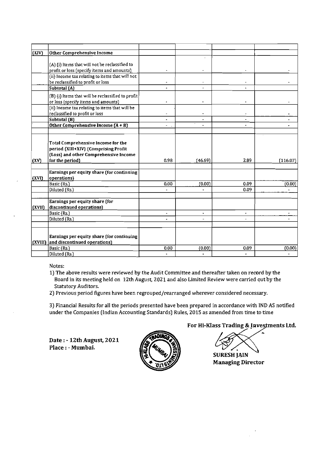| $\vert$ (XIV) | Other Comprehensive Income                        |                      |                |                      |           |
|---------------|---------------------------------------------------|----------------------|----------------|----------------------|-----------|
|               |                                                   |                      |                |                      |           |
|               | (A) (i) items that will not be reclassified to    |                      |                |                      |           |
|               | profit or loss (specify items and amounts)        |                      |                |                      |           |
|               | (ii) Income tax relating to items that will not   |                      |                |                      |           |
|               | be reclassified to profit or loss                 |                      |                |                      |           |
|               | Subtotal (A)                                      |                      |                |                      |           |
|               |                                                   |                      |                |                      |           |
|               | (B) (i) Items that will be reclassified to profit |                      |                |                      |           |
|               | or loss (specify items and amounts)               |                      |                |                      |           |
|               | (ii) Income tax relating to items that will be    |                      |                |                      |           |
|               | reclassified to profit or loss                    |                      |                |                      |           |
|               | Subtotal $(B)$                                    | $\blacksquare$       |                |                      |           |
|               | Other Comprehensive Income $(A + B)$              |                      |                | ÷                    |           |
|               |                                                   |                      |                |                      |           |
|               |                                                   |                      |                |                      |           |
|               | Total Comprehensive Income for the                |                      |                |                      |           |
|               | period (XIII+XIV) (Comprising Profit              |                      |                |                      |           |
|               | (Loss) and other Comprehensive Income             |                      |                |                      |           |
| (XV)          | for the period)                                   | 0.98                 | (46.69)        | 2.89                 | (116.07)  |
|               |                                                   |                      |                |                      |           |
|               | Earnings per equity share (for continuing         |                      |                |                      |           |
| (XVI)         | operations)                                       |                      |                |                      |           |
|               | Basic (Rs.)                                       | 0.00                 | (0.00)         | 0.09                 | (0.00)    |
|               | Diluted (Rs.)                                     |                      |                | 0.09                 |           |
|               |                                                   |                      |                |                      |           |
|               | Earnings per equity share (for                    |                      |                |                      |           |
| (XVII)        | discontinued operations)                          |                      |                |                      |           |
|               | Basic (Rs.)                                       | $\blacksquare$       | $\blacksquare$ | ٠                    |           |
|               | Diluted (Rs.)                                     | $\blacksquare$       | $\blacksquare$ | ä,                   | $\bullet$ |
|               |                                                   |                      |                |                      |           |
|               |                                                   |                      |                |                      |           |
|               | Earnings per equity share (for continuing         |                      |                |                      |           |
| (XVIII)       | and discontinued operations)                      |                      |                |                      |           |
|               | Basic (Rs.)                                       | 0.00                 | (0.00)         | 0.09                 | (0.00)    |
|               | Diluted (Rs.)                                     | $\ddot{\phantom{1}}$ | $\blacksquare$ | $\ddot{\phantom{1}}$ |           |
|               |                                                   |                      |                |                      |           |

Notes:

- 1) The above results were reviewed by the Audit Committee and thereafter taken on record by the Board in its meeting held on 12th August, 2021 and also Limited Review were carried out by the Statutory Auditors.
- 2) Previous period figures have been regrouped/rearranged wherever considered necessary.

3) Financial Results for all the periods presented have been prepared in accordance with IND AS notified under the Companies (Indian Accounting Standards] Rules, 2015 as amended from time to time

Date : - 12th August, 2021 Place : - Mumbai.



# For Hi-Klass Trading & Investments Ltd.

 $\ddot{\phantom{1}}$ 

SURESH **JAlN**  Managing Director